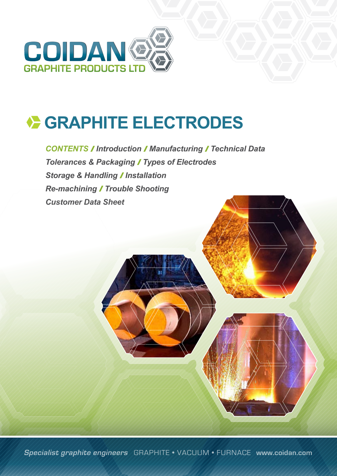

**CONTENTS / Introduction / Manufacturing / Technical Data Tolerances & Packaging / Types of Electrodes Storage & Handling / Installation** *Re-machining Trouble Shooting Customer Data Sheet*

**Specialist graphite engineers** GRAPHITE • VACUUM • FURNACE **www.coidan.com**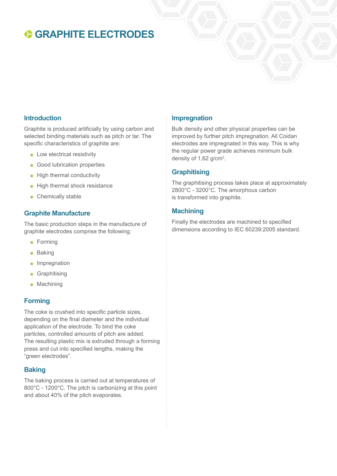#### **Introduction**

Graphite is produced artificially by using carbon and selected binding materials such as pitch or tar. The specific characteristics of graphite are:

- Low electrical resistivity
- Good lubrication properties
- High thermal conductivity
- High thermal shock resistance
- Chemically stable

#### **Graphite Manufacture**

The basic production steps in the manufacture of graphite electrodes comprise the following:

- Forming
- Baking
- Impregnation
- Graphitising
- Machining

#### **Forming**

The coke is crushed into specific particle sizes, depending on the final diameter and the individual application of the electrode. To bind the coke particles, controlled amounts of pitch are added. The resulting plastic mix is extruded through a forming press and cut into specified lengths, making the "green electrodes".

#### **Baking**

The baking process is carried out at temperatures of 800°C - 1200°C. The pitch is carbonizing at this point and about 40% of the pitch evaporates.

#### **Impregnation**

Bulk density and other physical properties can be improved by further pitch impregnation. All Coidan electrodes are impregnated in this way. This is why the regular power grade achieves minimum bulk density of  $1,62$  g/cm<sup>3</sup>.

#### **Graphitising**

The graphitising process takes place at approximately 2800°C - 3200°C. The amorphous carbon is transformed into graphite.

#### **Machining**

Finally the electrodes are machined to specified dimensions according to IEC 60239:2005 standard.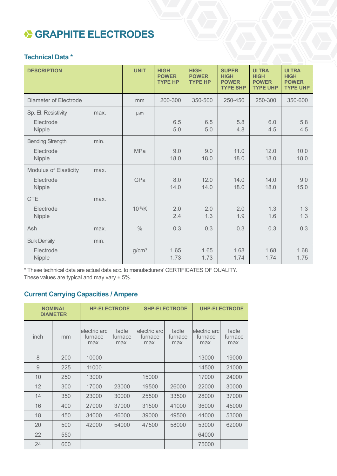#### **Technical Data \***

| <b>DESCRIPTION</b>                                  |      | <b>UNIT</b>       | <b>HIGH</b><br><b>POWER</b><br><b>TYPE HP</b> | <b>HIGH</b><br><b>POWER</b><br><b>TYPE HP</b> | <b>SUPER</b><br><b>HIGH</b><br><b>POWER</b><br><b>TYPE SHP</b> | <b>ULTRA</b><br><b>HIGH</b><br><b>POWER</b><br><b>TYPE UHP</b> | <b>ULTRA</b><br><b>HIGH</b><br><b>POWER</b><br><b>TYPE UHP</b> |
|-----------------------------------------------------|------|-------------------|-----------------------------------------------|-----------------------------------------------|----------------------------------------------------------------|----------------------------------------------------------------|----------------------------------------------------------------|
| <b>Diameter of Electrode</b>                        |      | mm                | 200-300                                       | 350-500                                       | 250-450                                                        | 250-300                                                        | 350-600                                                        |
| Sp. El. Resistivity<br>Electrode<br>Nipple          | max. | $\mu_0 m$         | 6.5<br>5.0                                    | 6.5<br>5.0                                    | 5.8<br>4.8                                                     | 6.0<br>4.5                                                     | 5.8<br>4.5                                                     |
| <b>Bending Strength</b><br>Electrode<br>Nipple      | min. | <b>MPa</b>        | 9.0<br>18.0                                   | 9.0<br>18.0                                   | 11.0<br>18.0                                                   | 12.0<br>18.0                                                   | 10.0<br>18.0                                                   |
| <b>Modulus of Elasticity</b><br>Electrode<br>Nipple | max. | GPa               | 8.0<br>14.0                                   | 12.0<br>14.0                                  | 14.0<br>18.0                                                   | 14.0<br>18.0                                                   | 9.0<br>15.0                                                    |
| <b>CTE</b><br>Electrode<br>Nipple                   | max. | $10^{-6}$ /K      | 2.0<br>2.4                                    | 2.0<br>1.3                                    | 2.0<br>1.9                                                     | 1.3<br>1.6                                                     | 1.3<br>1.3                                                     |
| Ash                                                 | max. | $\frac{0}{0}$     | 0.3                                           | 0.3                                           | 0.3                                                            | 0.3                                                            | 0.3                                                            |
| <b>Bulk Density</b><br>Electrode<br>Nipple          | min. | g/cm <sup>3</sup> | 1.65<br>1.73                                  | 1.65<br>1.73                                  | 1.68<br>1.74                                                   | 1.68<br>1.74                                                   | 1.68<br>1.75                                                   |

\* These technical data are actual data acc. to manufacturers' CERTIFICATES OF QUALITY. These values are typical and may vary  $\pm$  5%.

### **Current Carrying Capacities / Ampere**

|      | <b>NOMINAL</b><br><b>DIAMETER</b> |                                 | <b>HP-ELECTRODE</b>      |                                 | <b>SHP-ELECTRODE</b>     | <b>UHP-ELECTRODE</b>            |                          |
|------|-----------------------------------|---------------------------------|--------------------------|---------------------------------|--------------------------|---------------------------------|--------------------------|
| inch | mm                                | electric arc<br>furnace<br>max. | ladle<br>furnace<br>max. | electric arc<br>furnace<br>max. | ladle<br>furnace<br>max. | electric arc<br>furnace<br>max. | ladle<br>furnace<br>max. |
| 8    | 200                               | 10000                           |                          |                                 |                          | 13000                           | 19000                    |
| 9    | 225                               | 11000                           |                          |                                 |                          | 14500                           | 21000                    |
| 10   | 250                               | 13000                           |                          | 15000                           |                          | 17000                           | 24000                    |
| 12   | 300                               | 17000                           | 23000                    | 19500                           | 26000                    | 22000                           | 30000                    |
| 14   | 350                               | 23000                           | 30000                    | 25500                           | 33500                    | 28000                           | 37000                    |
| 16   | 400                               | 27000                           | 37000                    | 31500                           | 41000                    | 36000                           | 45000                    |
| 18   | 450                               | 34000                           | 46000                    | 39000                           | 49500                    | 44000                           | 53000                    |
| 20   | 500                               | 42000                           | 54000                    | 47500                           | 58000                    | 53000                           | 62000                    |
| 22   | 550                               |                                 |                          |                                 |                          | 64000                           |                          |
| 24   | 600                               |                                 |                          |                                 |                          | 75000                           |                          |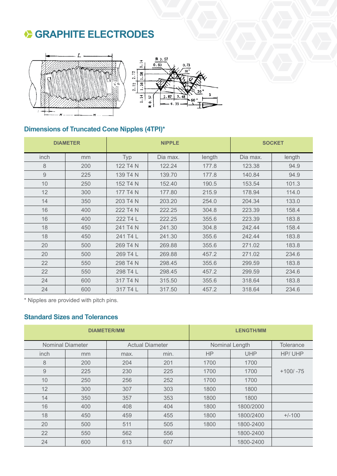



### **Dimensions of Truncated Cone Nipples (4TPI)\***

| <b>DIAMETER</b> |     |          | <b>NIPPLE</b> | <b>SOCKET</b> |          |        |
|-----------------|-----|----------|---------------|---------------|----------|--------|
| inch            | mm  | Typ      | Dia max.      | length        | Dia max. | length |
| 8               | 200 | 122 T4 N | 122.24        | 177.8         | 123.38   | 94.9   |
| $\overline{9}$  | 225 | 139 T4 N | 139.70        | 177.8         | 140.84   | 94.9   |
| 10              | 250 | 152 T4 N | 152.40        | 190.5         | 153.54   | 101.3  |
| 12              | 300 | 177 T4 N | 177.80        | 215.9         | 178.94   | 114.0  |
| 14              | 350 | 203 T4 N | 203.20        | 254.0         | 204.34   | 133.0  |
| 16              | 400 | 222 T4 N | 222.25        | 304.8         | 223.39   | 158.4  |
| 16              | 400 | 222 T4 L | 222.25        | 355.6         | 223.39   | 183.8  |
| 18              | 450 | 241 T4 N | 241.30        | 304.8         | 242.44   | 158.4  |
| 18              | 450 | 241 T4 L | 241.30        | 355.6         | 242.44   | 183.8  |
| 20              | 500 | 269 T4 N | 269.88        | 355.6         | 271.02   | 183.8  |
| 20              | 500 | 269 T4 L | 269.88        | 457.2         | 271.02   | 234.6  |
| 22              | 550 | 298 T4 N | 298.45        | 355.6         | 299.59   | 183.8  |
| 22              | 550 | 298 T4 L | 298.45        | 457.2         | 299.59   | 234.6  |
| 24              | 600 | 317 T4 N | 315.50        | 355.6         | 318.64   | 183.8  |
| 24              | 600 | 317 T4 L | 317.50        | 457.2         | 318.64   | 234.6  |

\* Nipples are provided with pitch pins.

### **Standard Sizes and Tolerances**

|      |                         | <b>DIAMETER/MM</b> | <b>LENGTH/MM</b>       |           |                |             |  |
|------|-------------------------|--------------------|------------------------|-----------|----------------|-------------|--|
|      | <b>Nominal Diameter</b> |                    | <b>Actual Diameter</b> |           | Nominal Length |             |  |
| inch | mm                      | max.               | min.                   | <b>HP</b> | <b>UHP</b>     | HP/UHP      |  |
| 8    | 200                     | 204                | 201                    | 1700      | 1700           |             |  |
| 9    | 225                     | 230                | 225                    | 1700      | 1700           | $+100/ -75$ |  |
| 10   | 250                     | 256                | 252                    | 1700      | 1700           |             |  |
| 12   | 300                     | 307                | 303                    | 1800      | 1800           |             |  |
| 14   | 350                     | 357                | 353                    | 1800      | 1800           |             |  |
| 16   | 400                     | 408                | 404                    | 1800      | 1800/2000      |             |  |
| 18   | 450                     | 459                | 455                    | 1800      | 1800/2400      | $+/-100$    |  |
| 20   | 500                     | 511                | 505                    | 1800      | 1800-2400      |             |  |
| 22   | 550                     | 562                | 556                    |           | 1800-2400      |             |  |
| 24   | 600                     | 613                | 607                    |           | 1800-2400      |             |  |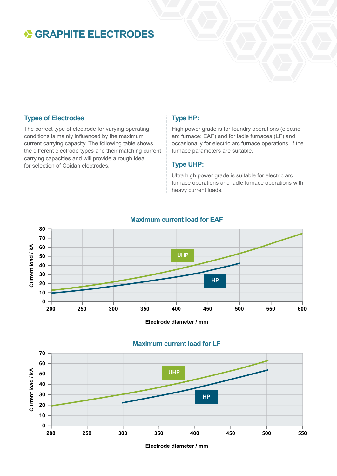#### **Types of Electrodes**

The correct type of electrode for varying operating conditions is mainly influenced by the maximum current carrying capacity. The following table shows the different electrode types and their matching current carrying capacities and will provide a rough idea for selection of Coidan electrodes.

#### **Type HP:**

High power grade is for foundry operations (electric arc furnace: EAF) and for ladle furnaces (LF) and occasionally for electric arc furnace operations, if the furnace parameters are suitable.

#### **Type UHP:**

Ultra high power grade is suitable for electric arc furnace operations and ladle furnace operations with heavy current loads.

### **Maximum current load for EAF**



**Electrode diameter / mm**

#### **Maximum current load for LF**



**Electrode diameter / mm**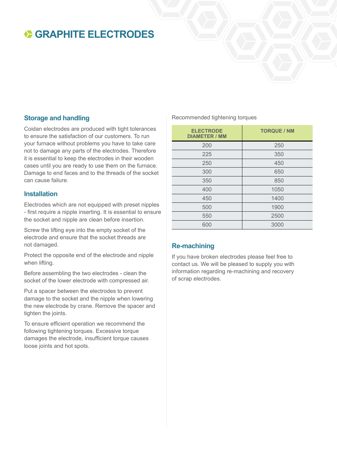#### **Storage and handling**

Coidan electrodes are produced with tight tolerances to ensure the satisfaction of our customers. To run your furnace without problems you have to take care not to damage any parts of the electrodes. Therefore it is essential to keep the electrodes in their wooden cases until you are ready to use them on the furnace. Damage to end faces and to the threads of the socket can cause failure.

#### **Installation**

Electrodes which are not equipped with preset nipples - first require a nipple inserting. It is essential to ensure the socket and nipple are clean before insertion.

Screw the lifting eye into the empty socket of the electrode and ensure that the socket threads are not damaged.

Protect the opposite end of the electrode and nipple when lifting.

Before assembling the two electrodes - clean the socket of the lower electrode with compressed air.

Put a spacer between the electrodes to prevent damage to the socket and the nipple when lowering the new electrode by crane. Remove the spacer and tighten the joints.

To ensure efficient operation we recommend the following tightening torques. Excessive torque damages the electrode, insufficient torque causes loose joints and hot spots.

Recommended tightening torques

| <b>ELECTRODE</b><br><b>DIAMETER / MM</b> | <b>TORQUE / NM</b> |
|------------------------------------------|--------------------|
| 200                                      | 250                |
| 225                                      | 350                |
| 250                                      | 450                |
| 300                                      | 650                |
| 350                                      | 850                |
| 400                                      | 1050               |
| 450                                      | 1400               |
| 500                                      | 1900               |
| 550                                      | 2500               |
| 600                                      | 3000               |

#### **Re-machining**

If you have broken electrodes please feel free to contact us. We will be pleased to supply you with information regarding re-machining and recovery of scrap electrodes.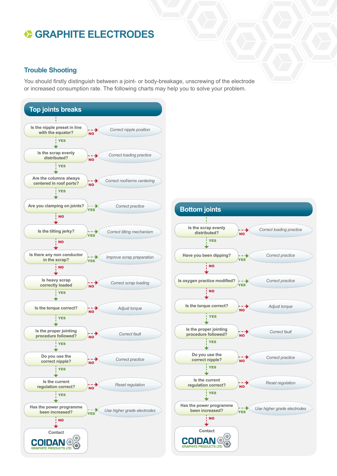#### **Trouble Shooting**

You should firstly distinguish between a joint- or body-breakage, unscrewing of the electrode or increased consumption rate. The following charts may help you to solve your problem.

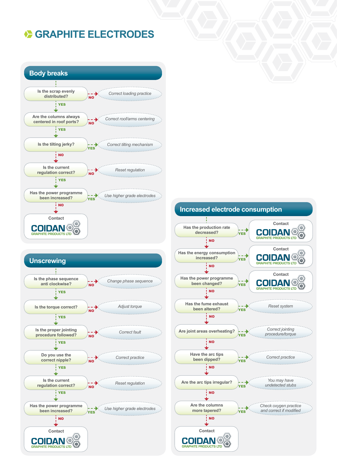